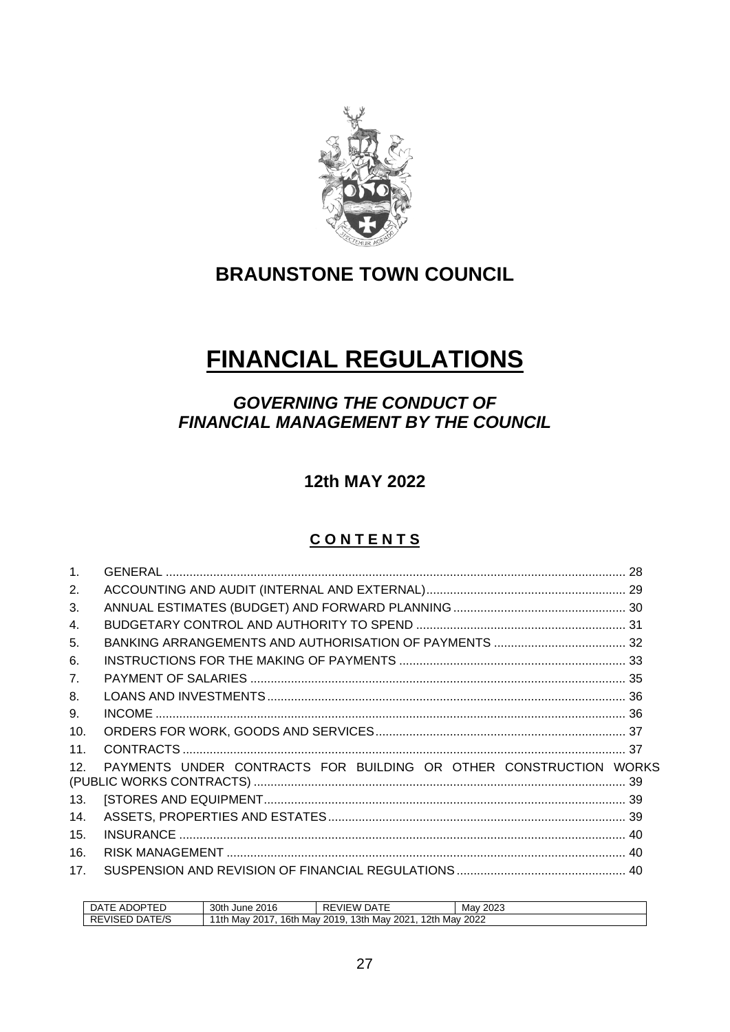

## **BRAUNSTONE TOWN COUNCIL**

# **FINANCIAL REGULATIONS**

## *GOVERNING THE CONDUCT OF FINANCIAL MANAGEMENT BY THE COUNCIL*

**12th MAY 2022**

### **C O N T E N T S**

| 2.              |                                                                   |  |
|-----------------|-------------------------------------------------------------------|--|
| 3.              |                                                                   |  |
| $\mathbf{4}$ .  |                                                                   |  |
| 5.              |                                                                   |  |
| 6.              |                                                                   |  |
| 7 <sub>1</sub>  |                                                                   |  |
| 8.              |                                                                   |  |
| 9.              |                                                                   |  |
| 10 <sub>1</sub> |                                                                   |  |
| 11.             |                                                                   |  |
| 12.             | PAYMENTS UNDER CONTRACTS FOR BUILDING OR OTHER CONSTRUCTION WORKS |  |
| 13.             |                                                                   |  |
| 14.             |                                                                   |  |
| 15.             |                                                                   |  |
| 16.             |                                                                   |  |
| 17 <sub>1</sub> |                                                                   |  |

<span id="page-0-0"></span>

| $\sim$ $\sim$<br>℩⊏<br>∵ مر<br>ĸ<br>$\mathbf{A}$<br>⊢<br>~<br>∼<br>-- | 30th June<br>2016                                                                                    | RE<br>$ -$<br>⊤مر<br>VIEW | 2023<br>Mav |  |
|-----------------------------------------------------------------------|------------------------------------------------------------------------------------------------------|---------------------------|-------------|--|
| Γ⊏/Ϛ<br>∵ مر<br>VISED<br>╲∟                                           | 2th<br>13th<br>. .<br>2022<br>16tr<br>2017<br>Mav<br>2021<br>1th<br>2019<br>Mav<br>Mav<br>Mav<br>20Z |                           |             |  |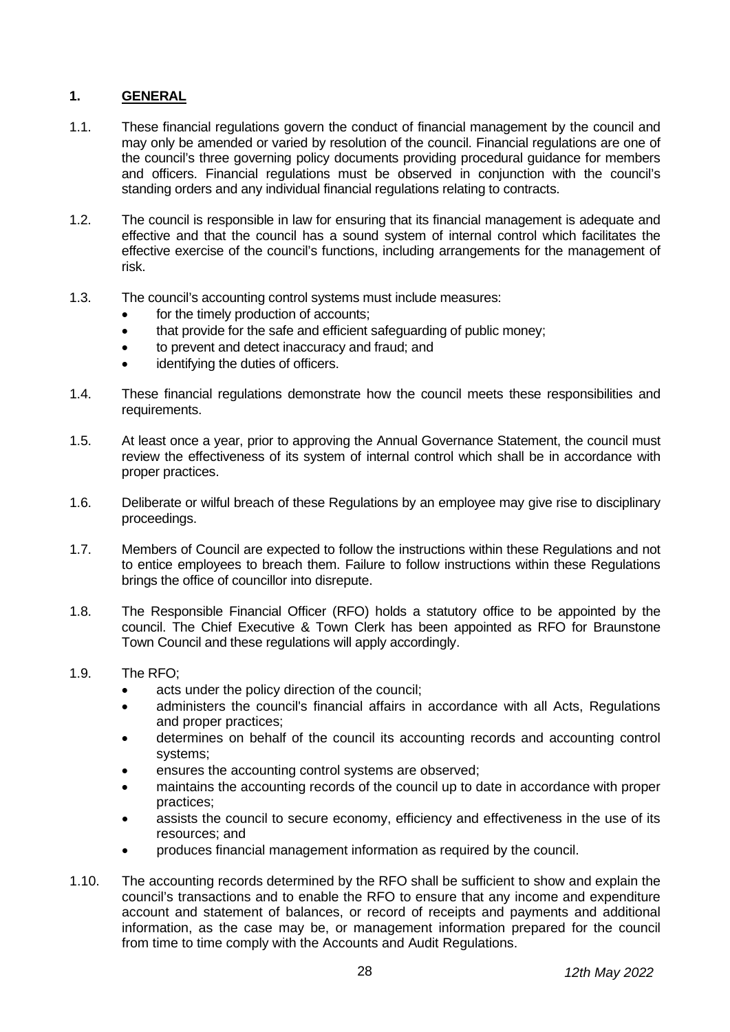#### **1. GENERAL**

- 1.1. These financial regulations govern the conduct of financial management by the council and may only be amended or varied by resolution of the council. Financial regulations are one of the council's three governing policy documents providing procedural guidance for members and officers. Financial regulations must be observed in conjunction with the council's standing orders and any individual financial regulations relating to contracts.
- 1.2. The council is responsible in law for ensuring that its financial management is adequate and effective and that the council has a sound system of internal control which facilitates the effective exercise of the council's functions, including arrangements for the management of risk.
- 1.3. The council's accounting control systems must include measures:
	- for the timely production of accounts;
	- that provide for the safe and efficient safeguarding of public money;
	- to prevent and detect inaccuracy and fraud; and
	- identifying the duties of officers.
- 1.4. These financial regulations demonstrate how the council meets these responsibilities and requirements.
- 1.5. At least once a year, prior to approving the Annual Governance Statement, the council must review the effectiveness of its system of internal control which shall be in accordance with proper practices.
- 1.6. Deliberate or wilful breach of these Regulations by an employee may give rise to disciplinary proceedings.
- 1.7. Members of Council are expected to follow the instructions within these Regulations and not to entice employees to breach them. Failure to follow instructions within these Regulations brings the office of councillor into disrepute.
- 1.8. The Responsible Financial Officer (RFO) holds a statutory office to be appointed by the council. The Chief Executive & Town Clerk has been appointed as RFO for Braunstone Town Council and these regulations will apply accordingly.
- 1.9. The RFO;
	- acts under the policy direction of the council;
	- administers the council's financial affairs in accordance with all Acts, Regulations and proper practices;
	- determines on behalf of the council its accounting records and accounting control systems;
	- ensures the accounting control systems are observed;
	- maintains the accounting records of the council up to date in accordance with proper practices;
	- assists the council to secure economy, efficiency and effectiveness in the use of its resources; and
	- produces financial management information as required by the council.
- 1.10. The accounting records determined by the RFO shall be sufficient to show and explain the council's transactions and to enable the RFO to ensure that any income and expenditure account and statement of balances, or record of receipts and payments and additional information, as the case may be, or management information prepared for the council from time to time comply with the Accounts and Audit Regulations.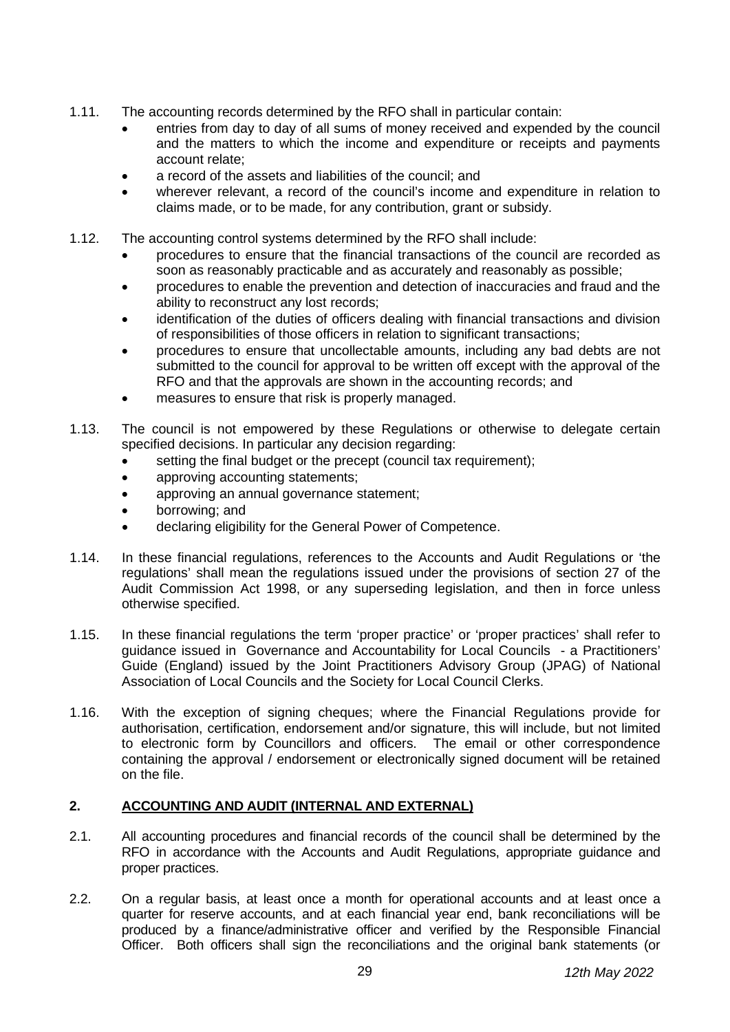- 1.11. The accounting records determined by the RFO shall in particular contain:
	- entries from day to day of all sums of money received and expended by the council and the matters to which the income and expenditure or receipts and payments account relate;
	- a record of the assets and liabilities of the council; and
	- wherever relevant, a record of the council's income and expenditure in relation to claims made, or to be made, for any contribution, grant or subsidy.
- 1.12. The accounting control systems determined by the RFO shall include:
	- procedures to ensure that the financial transactions of the council are recorded as soon as reasonably practicable and as accurately and reasonably as possible;
	- procedures to enable the prevention and detection of inaccuracies and fraud and the ability to reconstruct any lost records;
	- identification of the duties of officers dealing with financial transactions and division of responsibilities of those officers in relation to significant transactions;
	- procedures to ensure that uncollectable amounts, including any bad debts are not submitted to the council for approval to be written off except with the approval of the RFO and that the approvals are shown in the accounting records; and
	- measures to ensure that risk is properly managed.
- 1.13. The council is not empowered by these Regulations or otherwise to delegate certain specified decisions. In particular any decision regarding:
	- setting the final budget or the precept (council tax requirement);
	- approving accounting statements;
	- approving an annual governance statement;
	- borrowing; and
	- declaring eligibility for the General Power of Competence.
- 1.14. In these financial regulations, references to the Accounts and Audit Regulations or 'the regulations' shall mean the regulations issued under the provisions of section 27 of the Audit Commission Act 1998, or any superseding legislation, and then in force unless otherwise specified.
- 1.15. In these financial regulations the term 'proper practice' or 'proper practices' shall refer to guidance issued in Governance and Accountability for Local Councils - a Practitioners' Guide (England) issued by the Joint Practitioners Advisory Group (JPAG) of National Association of Local Councils and the Society for Local Council Clerks.
- 1.16. With the exception of signing cheques; where the Financial Regulations provide for authorisation, certification, endorsement and/or signature, this will include, but not limited to electronic form by Councillors and officers. The email or other correspondence containing the approval / endorsement or electronically signed document will be retained on the file.

#### <span id="page-2-0"></span>**2. ACCOUNTING AND AUDIT (INTERNAL AND EXTERNAL)**

- 2.1. All accounting procedures and financial records of the council shall be determined by the RFO in accordance with the Accounts and Audit Regulations, appropriate guidance and proper practices.
- 2.2. On a regular basis, at least once a month for operational accounts and at least once a quarter for reserve accounts, and at each financial year end, bank reconciliations will be produced by a finance/administrative officer and verified by the Responsible Financial Officer. Both officers shall sign the reconciliations and the original bank statements (or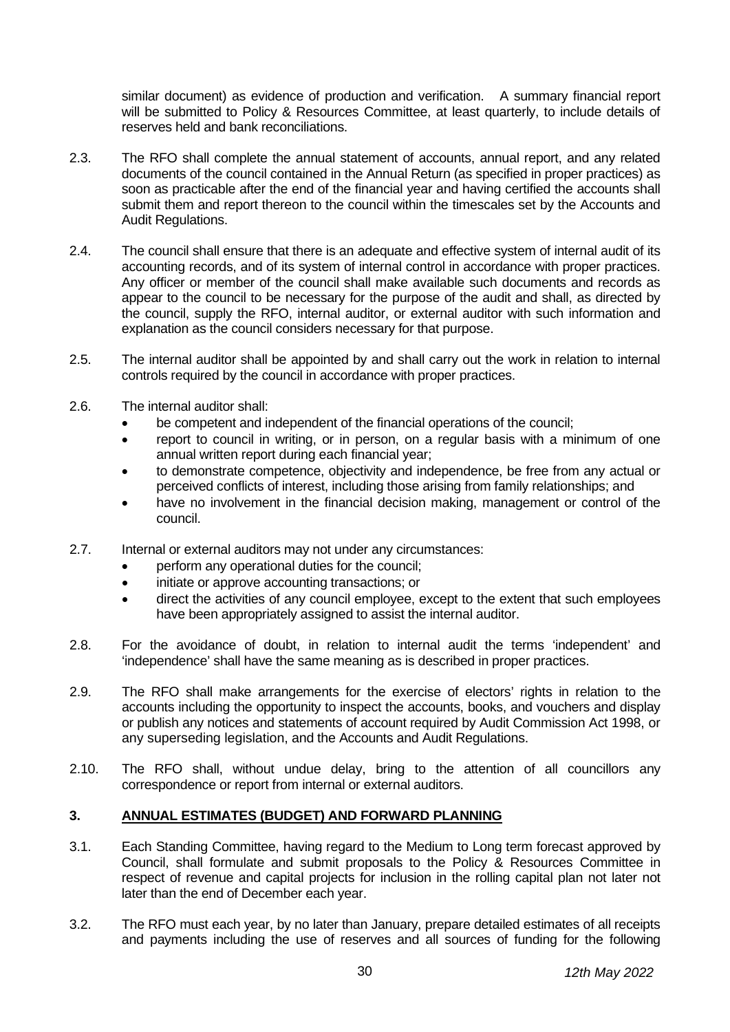similar document) as evidence of production and verification. A summary financial report will be submitted to Policy & Resources Committee, at least quarterly, to include details of reserves held and bank reconciliations.

- 2.3. The RFO shall complete the annual statement of accounts, annual report, and any related documents of the council contained in the Annual Return (as specified in proper practices) as soon as practicable after the end of the financial year and having certified the accounts shall submit them and report thereon to the council within the timescales set by the Accounts and Audit Regulations.
- 2.4. The council shall ensure that there is an adequate and effective system of internal audit of its accounting records, and of its system of internal control in accordance with proper practices. Any officer or member of the council shall make available such documents and records as appear to the council to be necessary for the purpose of the audit and shall, as directed by the council, supply the RFO, internal auditor, or external auditor with such information and explanation as the council considers necessary for that purpose.
- 2.5. The internal auditor shall be appointed by and shall carry out the work in relation to internal controls required by the council in accordance with proper practices.
- 2.6. The internal auditor shall:
	- be competent and independent of the financial operations of the council;
	- report to council in writing, or in person, on a regular basis with a minimum of one annual written report during each financial year;
	- to demonstrate competence, objectivity and independence, be free from any actual or perceived conflicts of interest, including those arising from family relationships; and
	- have no involvement in the financial decision making, management or control of the council.
- 2.7. Internal or external auditors may not under any circumstances:
	- perform any operational duties for the council;
	- initiate or approve accounting transactions; or
	- direct the activities of any council employee, except to the extent that such employees have been appropriately assigned to assist the internal auditor.
- 2.8. For the avoidance of doubt, in relation to internal audit the terms 'independent' and 'independence' shall have the same meaning as is described in proper practices.
- 2.9. The RFO shall make arrangements for the exercise of electors' rights in relation to the accounts including the opportunity to inspect the accounts, books, and vouchers and display or publish any notices and statements of account required by Audit Commission Act 1998, or any superseding legislation, and the Accounts and Audit Regulations.
- 2.10. The RFO shall, without undue delay, bring to the attention of all councillors any correspondence or report from internal or external auditors.

#### <span id="page-3-0"></span>**3. ANNUAL ESTIMATES (BUDGET) AND FORWARD PLANNING**

- 3.1. Each Standing Committee, having regard to the Medium to Long term forecast approved by Council, shall formulate and submit proposals to the Policy & Resources Committee in respect of revenue and capital projects for inclusion in the rolling capital plan not later not later than the end of December each year.
- 3.2. The RFO must each year, by no later than January, prepare detailed estimates of all receipts and payments including the use of reserves and all sources of funding for the following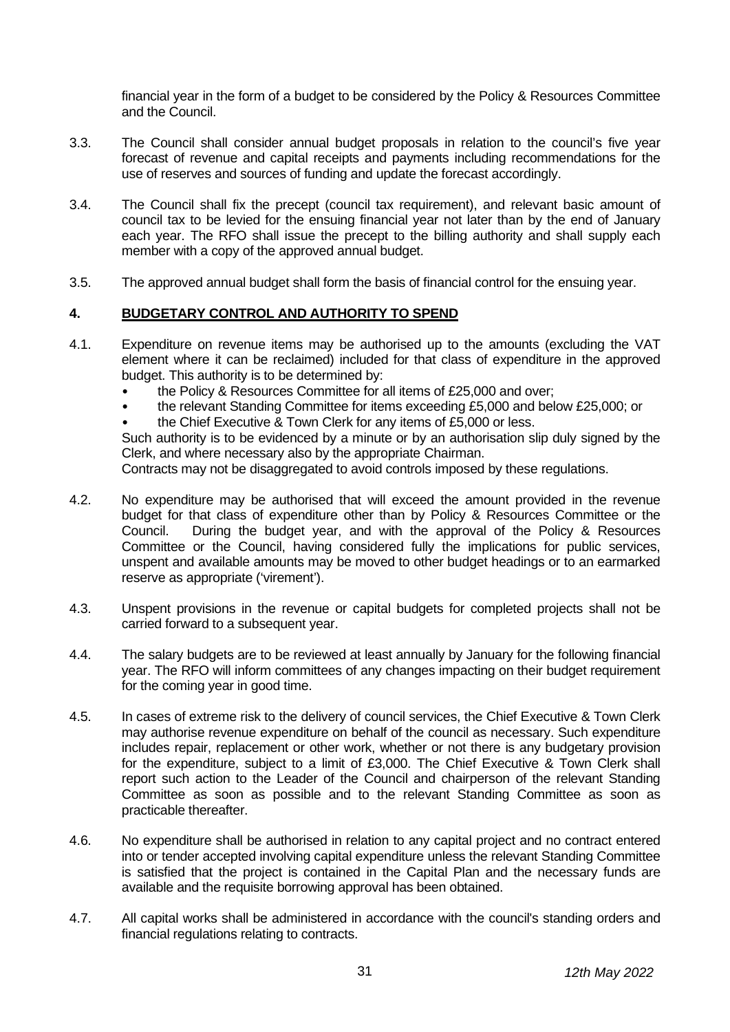financial year in the form of a budget to be considered by the Policy & Resources Committee and the Council.

- 3.3. The Council shall consider annual budget proposals in relation to the council's five year forecast of revenue and capital receipts and payments including recommendations for the use of reserves and sources of funding and update the forecast accordingly.
- 3.4. The Council shall fix the precept (council tax requirement), and relevant basic amount of council tax to be levied for the ensuing financial year not later than by the end of January each year. The RFO shall issue the precept to the billing authority and shall supply each member with a copy of the approved annual budget.
- 3.5. The approved annual budget shall form the basis of financial control for the ensuing year.

#### <span id="page-4-0"></span>**4. BUDGETARY CONTROL AND AUTHORITY TO SPEND**

- 4.1. Expenditure on revenue items may be authorised up to the amounts (excluding the VAT element where it can be reclaimed) included for that class of expenditure in the approved budget. This authority is to be determined by:
	- the Policy & Resources Committee for all items of £25,000 and over;
	- the relevant Standing Committee for items exceeding £5,000 and below £25,000; or
	- the Chief Executive & Town Clerk for any items of £5,000 or less.

Such authority is to be evidenced by a minute or by an authorisation slip duly signed by the Clerk, and where necessary also by the appropriate Chairman.

Contracts may not be disaggregated to avoid controls imposed by these regulations.

- 4.2. No expenditure may be authorised that will exceed the amount provided in the revenue budget for that class of expenditure other than by Policy & Resources Committee or the Council. During the budget year, and with the approval of the Policy & Resources Committee or the Council, having considered fully the implications for public services, unspent and available amounts may be moved to other budget headings or to an earmarked reserve as appropriate ('virement').
- 4.3. Unspent provisions in the revenue or capital budgets for completed projects shall not be carried forward to a subsequent year.
- 4.4. The salary budgets are to be reviewed at least annually by January for the following financial year. The RFO will inform committees of any changes impacting on their budget requirement for the coming year in good time.
- 4.5. In cases of extreme risk to the delivery of council services, the Chief Executive & Town Clerk may authorise revenue expenditure on behalf of the council as necessary. Such expenditure includes repair, replacement or other work, whether or not there is any budgetary provision for the expenditure, subject to a limit of £3,000. The Chief Executive & Town Clerk shall report such action to the Leader of the Council and chairperson of the relevant Standing Committee as soon as possible and to the relevant Standing Committee as soon as practicable thereafter.
- 4.6. No expenditure shall be authorised in relation to any capital project and no contract entered into or tender accepted involving capital expenditure unless the relevant Standing Committee is satisfied that the project is contained in the Capital Plan and the necessary funds are available and the requisite borrowing approval has been obtained.
- 4.7. All capital works shall be administered in accordance with the council's standing orders and financial regulations relating to contracts.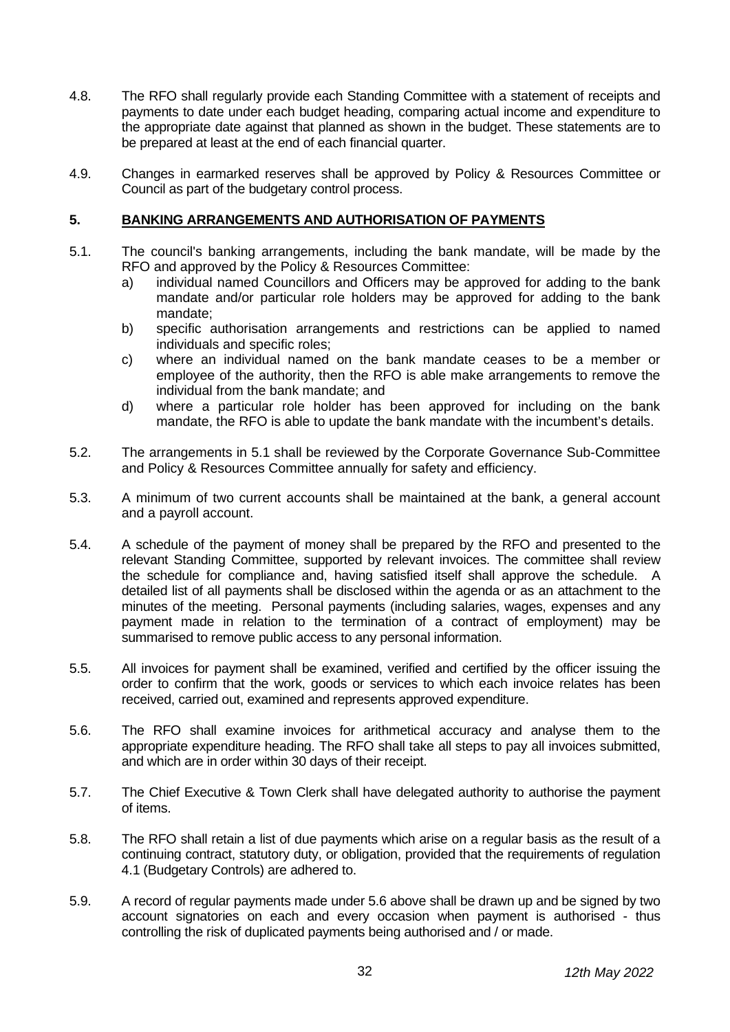- 4.8. The RFO shall regularly provide each Standing Committee with a statement of receipts and payments to date under each budget heading, comparing actual income and expenditure to the appropriate date against that planned as shown in the budget. These statements are to be prepared at least at the end of each financial quarter.
- 4.9. Changes in earmarked reserves shall be approved by Policy & Resources Committee or Council as part of the budgetary control process.

#### <span id="page-5-0"></span>**5. BANKING ARRANGEMENTS AND AUTHORISATION OF PAYMENTS**

- 5.1. The council's banking arrangements, including the bank mandate, will be made by the RFO and approved by the Policy & Resources Committee:
	- a) individual named Councillors and Officers may be approved for adding to the bank mandate and/or particular role holders may be approved for adding to the bank mandate;
	- b) specific authorisation arrangements and restrictions can be applied to named individuals and specific roles;
	- c) where an individual named on the bank mandate ceases to be a member or employee of the authority, then the RFO is able make arrangements to remove the individual from the bank mandate; and
	- d) where a particular role holder has been approved for including on the bank mandate, the RFO is able to update the bank mandate with the incumbent's details.
- 5.2. The arrangements in 5.1 shall be reviewed by the Corporate Governance Sub-Committee and Policy & Resources Committee annually for safety and efficiency.
- 5.3. A minimum of two current accounts shall be maintained at the bank, a general account and a payroll account.
- 5.4. A schedule of the payment of money shall be prepared by the RFO and presented to the relevant Standing Committee, supported by relevant invoices. The committee shall review the schedule for compliance and, having satisfied itself shall approve the schedule. A detailed list of all payments shall be disclosed within the agenda or as an attachment to the minutes of the meeting. Personal payments (including salaries, wages, expenses and any payment made in relation to the termination of a contract of employment) may be summarised to remove public access to any personal information.
- 5.5. All invoices for payment shall be examined, verified and certified by the officer issuing the order to confirm that the work, goods or services to which each invoice relates has been received, carried out, examined and represents approved expenditure.
- 5.6. The RFO shall examine invoices for arithmetical accuracy and analyse them to the appropriate expenditure heading. The RFO shall take all steps to pay all invoices submitted, and which are in order within 30 days of their receipt.
- 5.7. The Chief Executive & Town Clerk shall have delegated authority to authorise the payment of items.
- 5.8. The RFO shall retain a list of due payments which arise on a regular basis as the result of a continuing contract, statutory duty, or obligation, provided that the requirements of regulation 4.1 (Budgetary Controls) are adhered to.
- 5.9. A record of regular payments made under 5.6 above shall be drawn up and be signed by two account signatories on each and every occasion when payment is authorised - thus controlling the risk of duplicated payments being authorised and / or made.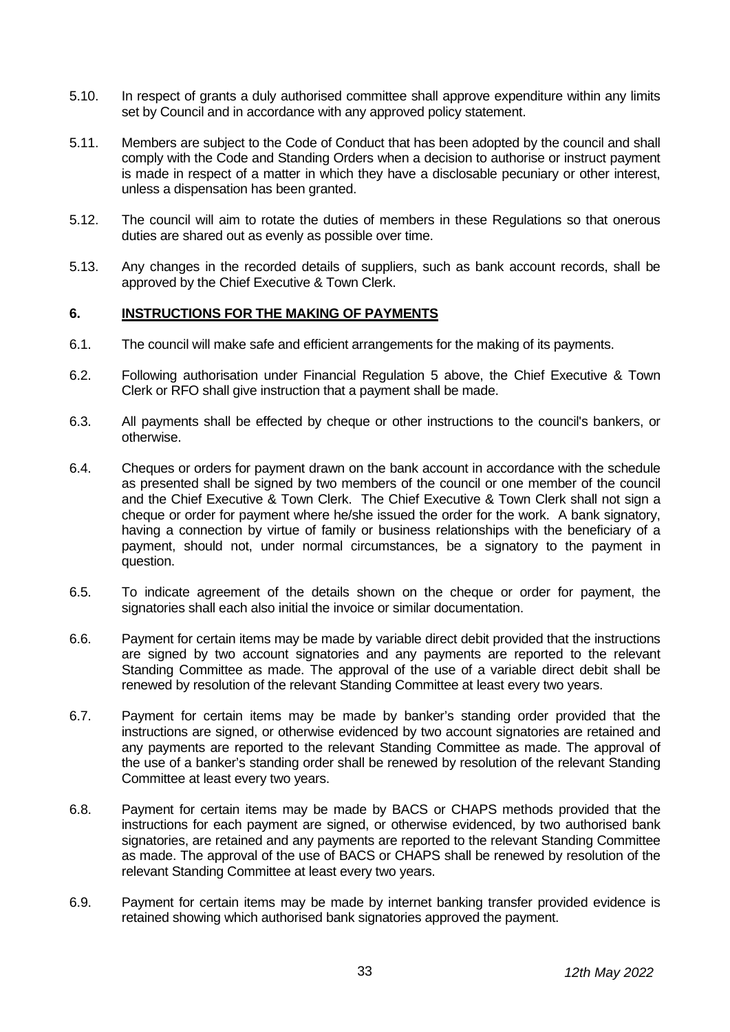- 5.10. In respect of grants a duly authorised committee shall approve expenditure within any limits set by Council and in accordance with any approved policy statement.
- 5.11. Members are subject to the Code of Conduct that has been adopted by the council and shall comply with the Code and Standing Orders when a decision to authorise or instruct payment is made in respect of a matter in which they have a disclosable pecuniary or other interest, unless a dispensation has been granted.
- 5.12. The council will aim to rotate the duties of members in these Regulations so that onerous duties are shared out as evenly as possible over time.
- 5.13. Any changes in the recorded details of suppliers, such as bank account records, shall be approved by the Chief Executive & Town Clerk.

#### <span id="page-6-0"></span>**6. INSTRUCTIONS FOR THE MAKING OF PAYMENTS**

- 6.1. The council will make safe and efficient arrangements for the making of its payments.
- 6.2. Following authorisation under Financial Regulation 5 above, the Chief Executive & Town Clerk or RFO shall give instruction that a payment shall be made.
- 6.3. All payments shall be effected by cheque or other instructions to the council's bankers, or otherwise.
- 6.4. Cheques or orders for payment drawn on the bank account in accordance with the schedule as presented shall be signed by two members of the council or one member of the council and the Chief Executive & Town Clerk. The Chief Executive & Town Clerk shall not sign a cheque or order for payment where he/she issued the order for the work. A bank signatory, having a connection by virtue of family or business relationships with the beneficiary of a payment, should not, under normal circumstances, be a signatory to the payment in question.
- 6.5. To indicate agreement of the details shown on the cheque or order for payment, the signatories shall each also initial the invoice or similar documentation.
- 6.6. Payment for certain items may be made by variable direct debit provided that the instructions are signed by two account signatories and any payments are reported to the relevant Standing Committee as made. The approval of the use of a variable direct debit shall be renewed by resolution of the relevant Standing Committee at least every two years.
- 6.7. Payment for certain items may be made by banker's standing order provided that the instructions are signed, or otherwise evidenced by two account signatories are retained and any payments are reported to the relevant Standing Committee as made. The approval of the use of a banker's standing order shall be renewed by resolution of the relevant Standing Committee at least every two years.
- 6.8. Payment for certain items may be made by BACS or CHAPS methods provided that the instructions for each payment are signed, or otherwise evidenced, by two authorised bank signatories, are retained and any payments are reported to the relevant Standing Committee as made. The approval of the use of BACS or CHAPS shall be renewed by resolution of the relevant Standing Committee at least every two years.
- 6.9. Payment for certain items may be made by internet banking transfer provided evidence is retained showing which authorised bank signatories approved the payment.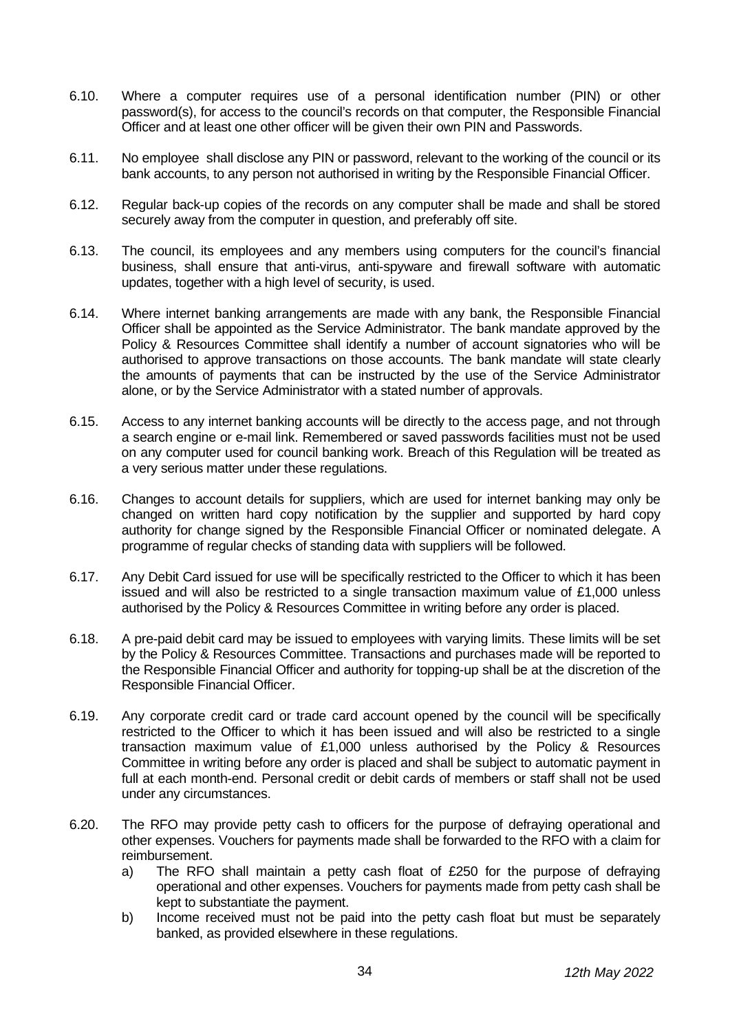- 6.10. Where a computer requires use of a personal identification number (PIN) or other password(s), for access to the council's records on that computer, the Responsible Financial Officer and at least one other officer will be given their own PIN and Passwords.
- 6.11. No employee shall disclose any PIN or password, relevant to the working of the council or its bank accounts, to any person not authorised in writing by the Responsible Financial Officer.
- 6.12. Regular back-up copies of the records on any computer shall be made and shall be stored securely away from the computer in question, and preferably off site.
- 6.13. The council, its employees and any members using computers for the council's financial business, shall ensure that anti-virus, anti-spyware and firewall software with automatic updates, together with a high level of security, is used.
- 6.14. Where internet banking arrangements are made with any bank, the Responsible Financial Officer shall be appointed as the Service Administrator. The bank mandate approved by the Policy & Resources Committee shall identify a number of account signatories who will be authorised to approve transactions on those accounts. The bank mandate will state clearly the amounts of payments that can be instructed by the use of the Service Administrator alone, or by the Service Administrator with a stated number of approvals.
- 6.15. Access to any internet banking accounts will be directly to the access page, and not through a search engine or e-mail link. Remembered or saved passwords facilities must not be used on any computer used for council banking work. Breach of this Regulation will be treated as a very serious matter under these regulations.
- 6.16. Changes to account details for suppliers, which are used for internet banking may only be changed on written hard copy notification by the supplier and supported by hard copy authority for change signed by the Responsible Financial Officer or nominated delegate. A programme of regular checks of standing data with suppliers will be followed.
- 6.17. Any Debit Card issued for use will be specifically restricted to the Officer to which it has been issued and will also be restricted to a single transaction maximum value of £1,000 unless authorised by the Policy & Resources Committee in writing before any order is placed.
- 6.18. A pre-paid debit card may be issued to employees with varying limits. These limits will be set by the Policy & Resources Committee. Transactions and purchases made will be reported to the Responsible Financial Officer and authority for topping-up shall be at the discretion of the Responsible Financial Officer.
- 6.19. Any corporate credit card or trade card account opened by the council will be specifically restricted to the Officer to which it has been issued and will also be restricted to a single transaction maximum value of £1,000 unless authorised by the Policy & Resources Committee in writing before any order is placed and shall be subject to automatic payment in full at each month-end. Personal credit or debit cards of members or staff shall not be used under any circumstances.
- 6.20. The RFO may provide petty cash to officers for the purpose of defraying operational and other expenses. Vouchers for payments made shall be forwarded to the RFO with a claim for reimbursement.
	- a) The RFO shall maintain a petty cash float of £250 for the purpose of defraying operational and other expenses. Vouchers for payments made from petty cash shall be kept to substantiate the payment.
	- b) Income received must not be paid into the petty cash float but must be separately banked, as provided elsewhere in these regulations.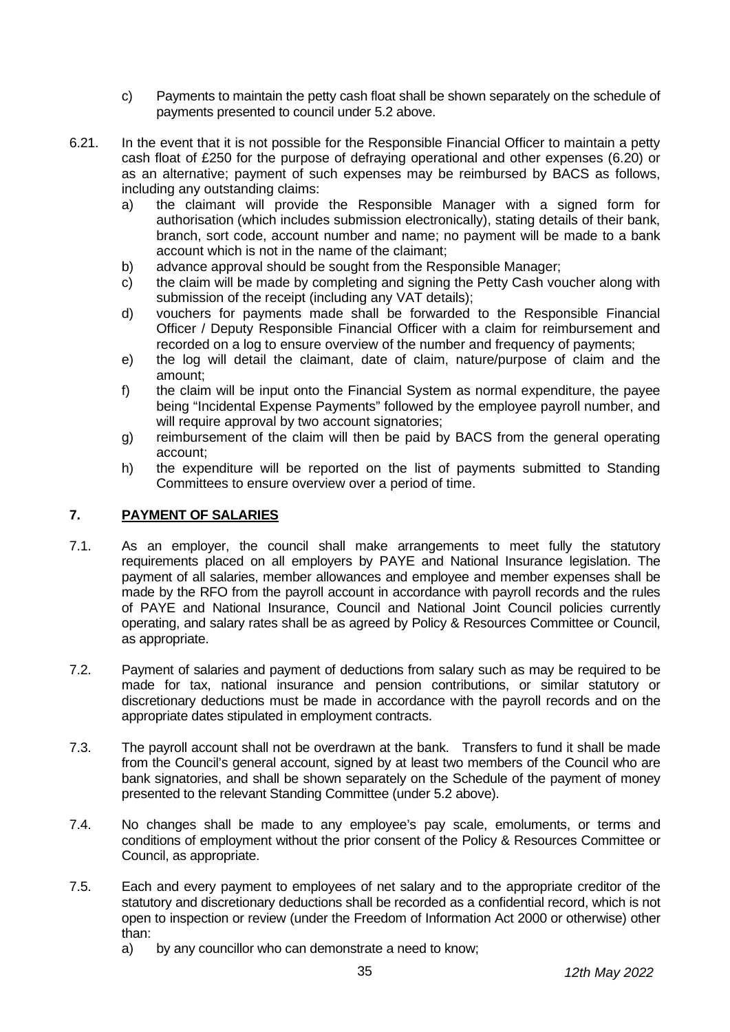- c) Payments to maintain the petty cash float shall be shown separately on the schedule of payments presented to council under 5.2 above.
- 6.21. In the event that it is not possible for the Responsible Financial Officer to maintain a petty cash float of £250 for the purpose of defraying operational and other expenses (6.20) or as an alternative; payment of such expenses may be reimbursed by BACS as follows, including any outstanding claims:
	- a) the claimant will provide the Responsible Manager with a signed form for authorisation (which includes submission electronically), stating details of their bank, branch, sort code, account number and name; no payment will be made to a bank account which is not in the name of the claimant;
	- b) advance approval should be sought from the Responsible Manager;
	- c) the claim will be made by completing and signing the Petty Cash voucher along with submission of the receipt (including any VAT details);
	- d) vouchers for payments made shall be forwarded to the Responsible Financial Officer / Deputy Responsible Financial Officer with a claim for reimbursement and recorded on a log to ensure overview of the number and frequency of payments;
	- e) the log will detail the claimant, date of claim, nature/purpose of claim and the amount;
	- f) the claim will be input onto the Financial System as normal expenditure, the payee being "Incidental Expense Payments" followed by the employee payroll number, and will require approval by two account signatories;
	- g) reimbursement of the claim will then be paid by BACS from the general operating account;
	- h) the expenditure will be reported on the list of payments submitted to Standing Committees to ensure overview over a period of time.

#### <span id="page-8-0"></span>**7. PAYMENT OF SALARIES**

- 7.1. As an employer, the council shall make arrangements to meet fully the statutory requirements placed on all employers by PAYE and National Insurance legislation. The payment of all salaries, member allowances and employee and member expenses shall be made by the RFO from the payroll account in accordance with payroll records and the rules of PAYE and National Insurance, Council and National Joint Council policies currently operating, and salary rates shall be as agreed by Policy & Resources Committee or Council, as appropriate.
- 7.2. Payment of salaries and payment of deductions from salary such as may be required to be made for tax, national insurance and pension contributions, or similar statutory or discretionary deductions must be made in accordance with the payroll records and on the appropriate dates stipulated in employment contracts.
- 7.3. The payroll account shall not be overdrawn at the bank. Transfers to fund it shall be made from the Council's general account, signed by at least two members of the Council who are bank signatories, and shall be shown separately on the Schedule of the payment of money presented to the relevant Standing Committee (under 5.2 above).
- 7.4. No changes shall be made to any employee's pay scale, emoluments, or terms and conditions of employment without the prior consent of the Policy & Resources Committee or Council, as appropriate.
- 7.5. Each and every payment to employees of net salary and to the appropriate creditor of the statutory and discretionary deductions shall be recorded as a confidential record, which is not open to inspection or review (under the Freedom of Information Act 2000 or otherwise) other than:
	- a) by any councillor who can demonstrate a need to know;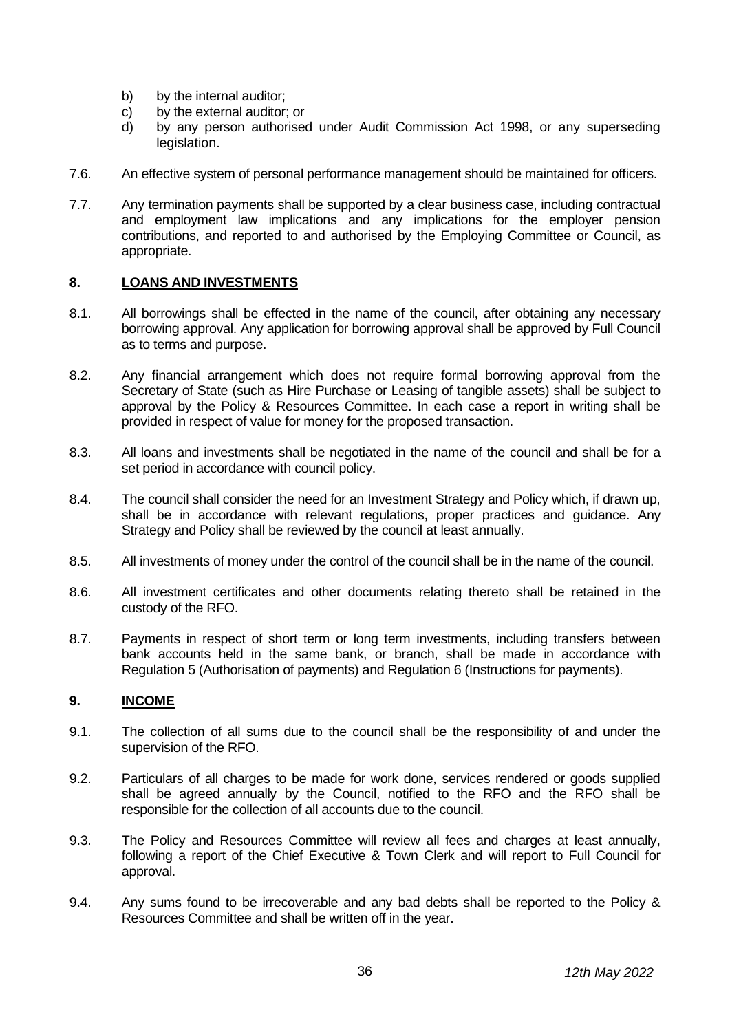- b) by the internal auditor;
- c) by the external auditor; or
- d) by any person authorised under Audit Commission Act 1998, or any superseding legislation.
- 7.6. An effective system of personal performance management should be maintained for officers.
- 7.7. Any termination payments shall be supported by a clear business case, including contractual and employment law implications and any implications for the employer pension contributions, and reported to and authorised by the Employing Committee or Council, as appropriate.

#### <span id="page-9-0"></span>**8. LOANS AND INVESTMENTS**

- 8.1. All borrowings shall be effected in the name of the council, after obtaining any necessary borrowing approval. Any application for borrowing approval shall be approved by Full Council as to terms and purpose.
- 8.2. Any financial arrangement which does not require formal borrowing approval from the Secretary of State (such as Hire Purchase or Leasing of tangible assets) shall be subject to approval by the Policy & Resources Committee. In each case a report in writing shall be provided in respect of value for money for the proposed transaction.
- 8.3. All loans and investments shall be negotiated in the name of the council and shall be for a set period in accordance with council policy.
- 8.4. The council shall consider the need for an Investment Strategy and Policy which, if drawn up, shall be in accordance with relevant regulations, proper practices and guidance. Any Strategy and Policy shall be reviewed by the council at least annually.
- 8.5. All investments of money under the control of the council shall be in the name of the council.
- 8.6. All investment certificates and other documents relating thereto shall be retained in the custody of the RFO.
- 8.7. Payments in respect of short term or long term investments, including transfers between bank accounts held in the same bank, or branch, shall be made in accordance with Regulation 5 (Authorisation of payments) and Regulation 6 (Instructions for payments).

#### <span id="page-9-1"></span>**9. INCOME**

- 9.1. The collection of all sums due to the council shall be the responsibility of and under the supervision of the RFO.
- 9.2. Particulars of all charges to be made for work done, services rendered or goods supplied shall be agreed annually by the Council, notified to the RFO and the RFO shall be responsible for the collection of all accounts due to the council.
- 9.3. The Policy and Resources Committee will review all fees and charges at least annually, following a report of the Chief Executive & Town Clerk and will report to Full Council for approval.
- 9.4. Any sums found to be irrecoverable and any bad debts shall be reported to the Policy & Resources Committee and shall be written off in the year.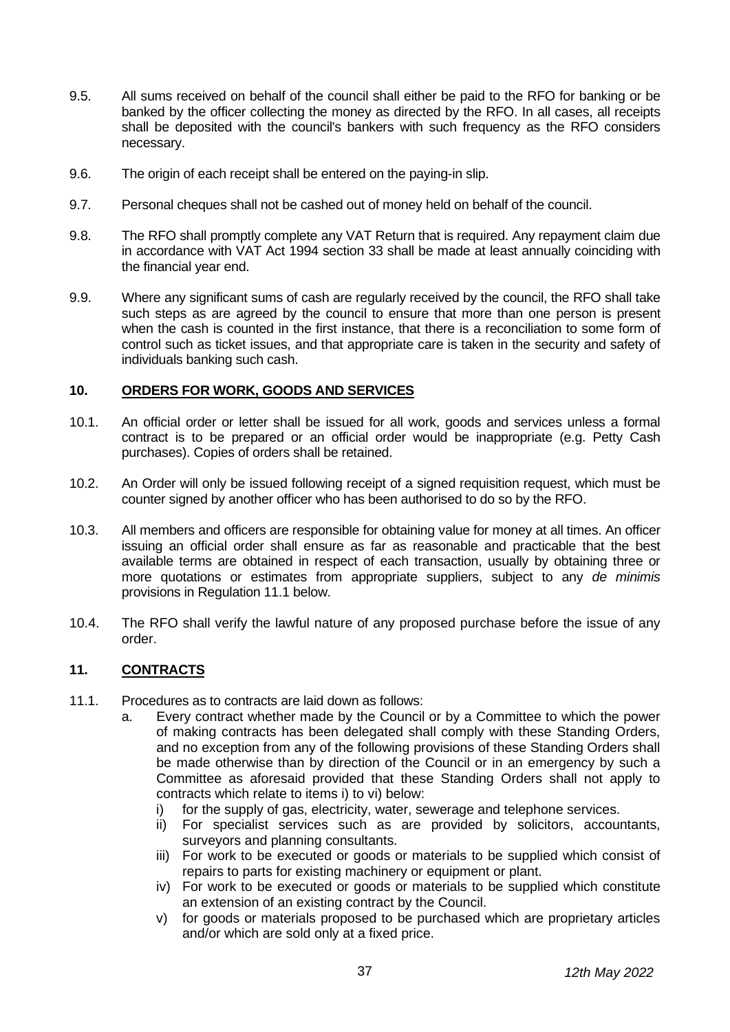- 9.5. All sums received on behalf of the council shall either be paid to the RFO for banking or be banked by the officer collecting the money as directed by the RFO. In all cases, all receipts shall be deposited with the council's bankers with such frequency as the RFO considers necessary.
- 9.6. The origin of each receipt shall be entered on the paying-in slip.
- 9.7. Personal cheques shall not be cashed out of money held on behalf of the council.
- 9.8. The RFO shall promptly complete any VAT Return that is required. Any repayment claim due in accordance with VAT Act 1994 section 33 shall be made at least annually coinciding with the financial year end.
- 9.9. Where any significant sums of cash are regularly received by the council, the RFO shall take such steps as are agreed by the council to ensure that more than one person is present when the cash is counted in the first instance, that there is a reconciliation to some form of control such as ticket issues, and that appropriate care is taken in the security and safety of individuals banking such cash.

#### <span id="page-10-0"></span>**10. ORDERS FOR WORK, GOODS AND SERVICES**

- 10.1. An official order or letter shall be issued for all work, goods and services unless a formal contract is to be prepared or an official order would be inappropriate (e.g. Petty Cash purchases). Copies of orders shall be retained.
- 10.2. An Order will only be issued following receipt of a signed requisition request, which must be counter signed by another officer who has been authorised to do so by the RFO.
- 10.3. All members and officers are responsible for obtaining value for money at all times. An officer issuing an official order shall ensure as far as reasonable and practicable that the best available terms are obtained in respect of each transaction, usually by obtaining three or more quotations or estimates from appropriate suppliers, subject to any *de minimis* provisions in Regulation 11.1 below.
- 10.4. The RFO shall verify the lawful nature of any proposed purchase before the issue of any order.

#### <span id="page-10-1"></span>**11. CONTRACTS**

- 11.1. Procedures as to contracts are laid down as follows:
	- a. Every contract whether made by the Council or by a Committee to which the power of making contracts has been delegated shall comply with these Standing Orders, and no exception from any of the following provisions of these Standing Orders shall be made otherwise than by direction of the Council or in an emergency by such a Committee as aforesaid provided that these Standing Orders shall not apply to contracts which relate to items i) to vi) below:
		- i) for the supply of gas, electricity, water, sewerage and telephone services.
		- ii) For specialist services such as are provided by solicitors, accountants, surveyors and planning consultants.
		- iii) For work to be executed or goods or materials to be supplied which consist of repairs to parts for existing machinery or equipment or plant.
		- iv) For work to be executed or goods or materials to be supplied which constitute an extension of an existing contract by the Council.
		- v) for goods or materials proposed to be purchased which are proprietary articles and/or which are sold only at a fixed price.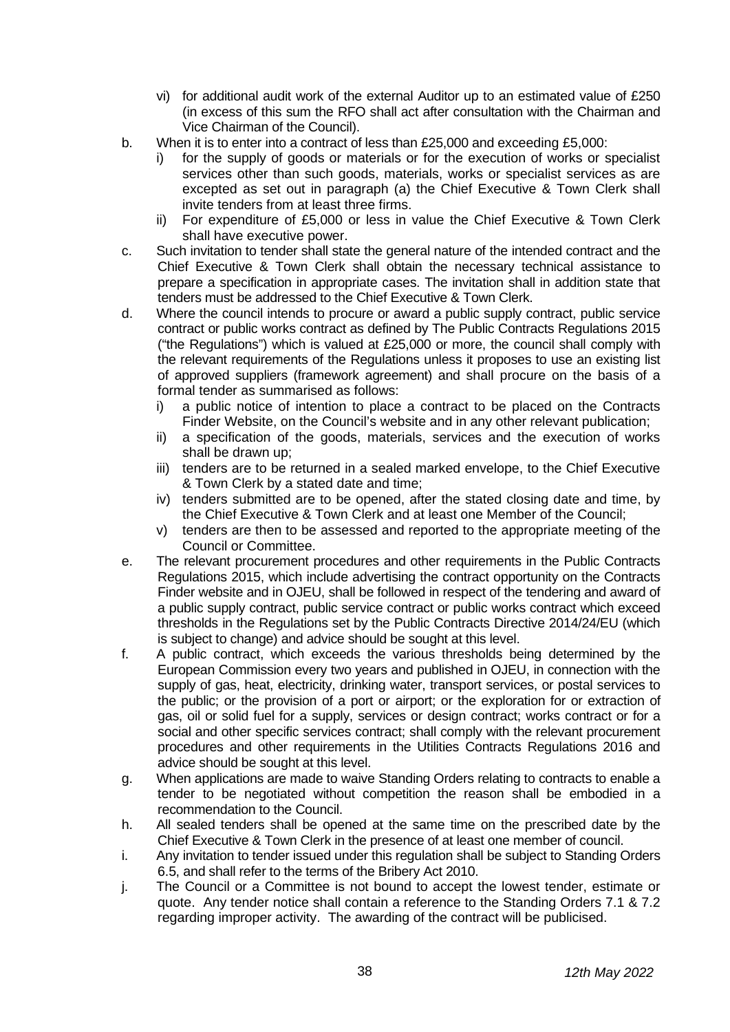- vi) for additional audit work of the external Auditor up to an estimated value of £250 (in excess of this sum the RFO shall act after consultation with the Chairman and Vice Chairman of the Council).
- b. When it is to enter into a contract of less than £25,000 and exceeding £5,000:
	- for the supply of goods or materials or for the execution of works or specialist services other than such goods, materials, works or specialist services as are excepted as set out in paragraph (a) the Chief Executive & Town Clerk shall invite tenders from at least three firms.
	- ii) For expenditure of £5,000 or less in value the Chief Executive & Town Clerk shall have executive power.
- c. Such invitation to tender shall state the general nature of the intended contract and the Chief Executive & Town Clerk shall obtain the necessary technical assistance to prepare a specification in appropriate cases. The invitation shall in addition state that tenders must be addressed to the Chief Executive & Town Clerk.
- d. Where the council intends to procure or award a public supply contract, public service contract or public works contract as defined by The Public Contracts Regulations 2015 ("the Regulations") which is valued at £25,000 or more, the council shall comply with the relevant requirements of the Regulations unless it proposes to use an existing list of approved suppliers (framework agreement) and shall procure on the basis of a formal tender as summarised as follows:
	- i) a public notice of intention to place a contract to be placed on the Contracts Finder Website, on the Council's website and in any other relevant publication;
	- ii) a specification of the goods, materials, services and the execution of works shall be drawn up;
	- iii) tenders are to be returned in a sealed marked envelope, to the Chief Executive & Town Clerk by a stated date and time;
	- iv) tenders submitted are to be opened, after the stated closing date and time, by the Chief Executive & Town Clerk and at least one Member of the Council;
	- v) tenders are then to be assessed and reported to the appropriate meeting of the Council or Committee.
- e. The relevant procurement procedures and other requirements in the Public Contracts Regulations 2015, which include advertising the contract opportunity on the Contracts Finder website and in OJEU, shall be followed in respect of the tendering and award of a public supply contract, public service contract or public works contract which exceed thresholds in the Regulations set by the Public Contracts Directive 2014/24/EU (which is subject to change) and advice should be sought at this level.
- f. A public contract, which exceeds the various thresholds being determined by the European Commission every two years and published in OJEU, in connection with the supply of gas, heat, electricity, drinking water, transport services, or postal services to the public; or the provision of a port or airport; or the exploration for or extraction of gas, oil or solid fuel for a supply, services or design contract; works contract or for a social and other specific services contract; shall comply with the relevant procurement procedures and other requirements in the Utilities Contracts Regulations 2016 and advice should be sought at this level.
- g. When applications are made to waive Standing Orders relating to contracts to enable a tender to be negotiated without competition the reason shall be embodied in a recommendation to the Council.
- h. All sealed tenders shall be opened at the same time on the prescribed date by the Chief Executive & Town Clerk in the presence of at least one member of council.
- i. Any invitation to tender issued under this regulation shall be subject to Standing Orders 6.5, and shall refer to the terms of the Bribery Act 2010.
- j. The Council or a Committee is not bound to accept the lowest tender, estimate or quote. Any tender notice shall contain a reference to the Standing Orders 7.1 & 7.2 regarding improper activity. The awarding of the contract will be publicised.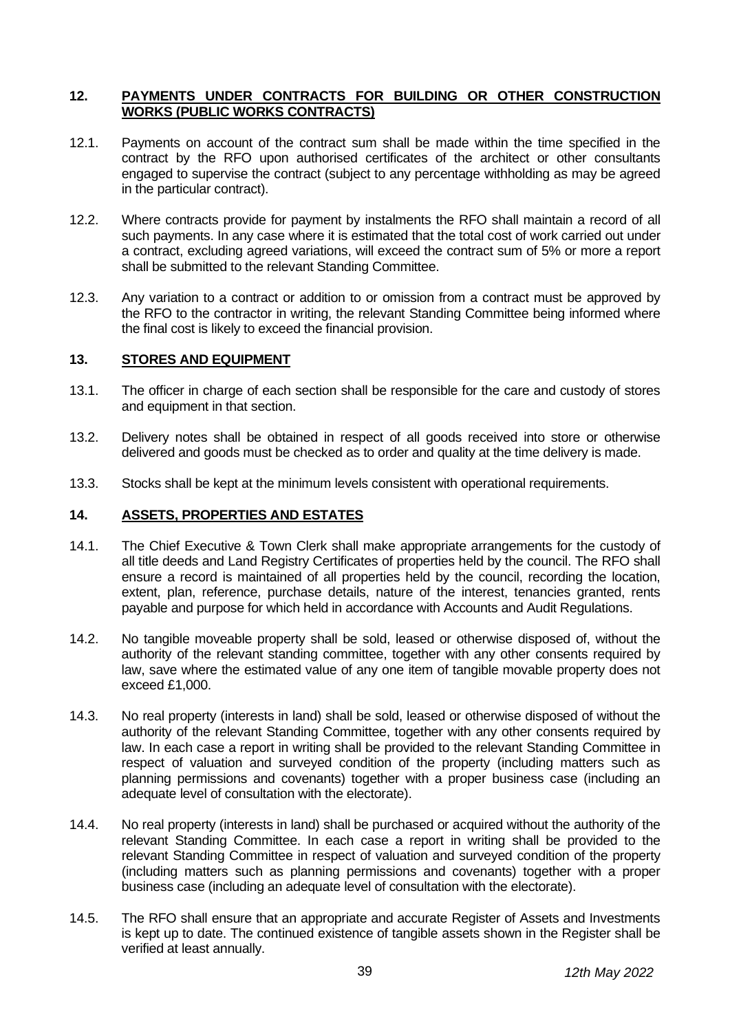#### <span id="page-12-0"></span>**12. PAYMENTS UNDER CONTRACTS FOR BUILDING OR OTHER CONSTRUCTION WORKS (PUBLIC WORKS CONTRACTS)**

- 12.1. Payments on account of the contract sum shall be made within the time specified in the contract by the RFO upon authorised certificates of the architect or other consultants engaged to supervise the contract (subject to any percentage withholding as may be agreed in the particular contract).
- 12.2. Where contracts provide for payment by instalments the RFO shall maintain a record of all such payments. In any case where it is estimated that the total cost of work carried out under a contract, excluding agreed variations, will exceed the contract sum of 5% or more a report shall be submitted to the relevant Standing Committee.
- 12.3. Any variation to a contract or addition to or omission from a contract must be approved by the RFO to the contractor in writing, the relevant Standing Committee being informed where the final cost is likely to exceed the financial provision.

#### <span id="page-12-1"></span>**13. STORES AND EQUIPMENT**

- 13.1. The officer in charge of each section shall be responsible for the care and custody of stores and equipment in that section.
- 13.2. Delivery notes shall be obtained in respect of all goods received into store or otherwise delivered and goods must be checked as to order and quality at the time delivery is made.
- 13.3. Stocks shall be kept at the minimum levels consistent with operational requirements.

#### <span id="page-12-2"></span>**14. ASSETS, PROPERTIES AND ESTATES**

- 14.1. The Chief Executive & Town Clerk shall make appropriate arrangements for the custody of all title deeds and Land Registry Certificates of properties held by the council. The RFO shall ensure a record is maintained of all properties held by the council, recording the location, extent, plan, reference, purchase details, nature of the interest, tenancies granted, rents payable and purpose for which held in accordance with Accounts and Audit Regulations.
- 14.2. No tangible moveable property shall be sold, leased or otherwise disposed of, without the authority of the relevant standing committee, together with any other consents required by law, save where the estimated value of any one item of tangible movable property does not exceed £1,000.
- 14.3. No real property (interests in land) shall be sold, leased or otherwise disposed of without the authority of the relevant Standing Committee, together with any other consents required by law. In each case a report in writing shall be provided to the relevant Standing Committee in respect of valuation and surveyed condition of the property (including matters such as planning permissions and covenants) together with a proper business case (including an adequate level of consultation with the electorate).
- 14.4. No real property (interests in land) shall be purchased or acquired without the authority of the relevant Standing Committee. In each case a report in writing shall be provided to the relevant Standing Committee in respect of valuation and surveyed condition of the property (including matters such as planning permissions and covenants) together with a proper business case (including an adequate level of consultation with the electorate).
- 14.5. The RFO shall ensure that an appropriate and accurate Register of Assets and Investments is kept up to date. The continued existence of tangible assets shown in the Register shall be verified at least annually.